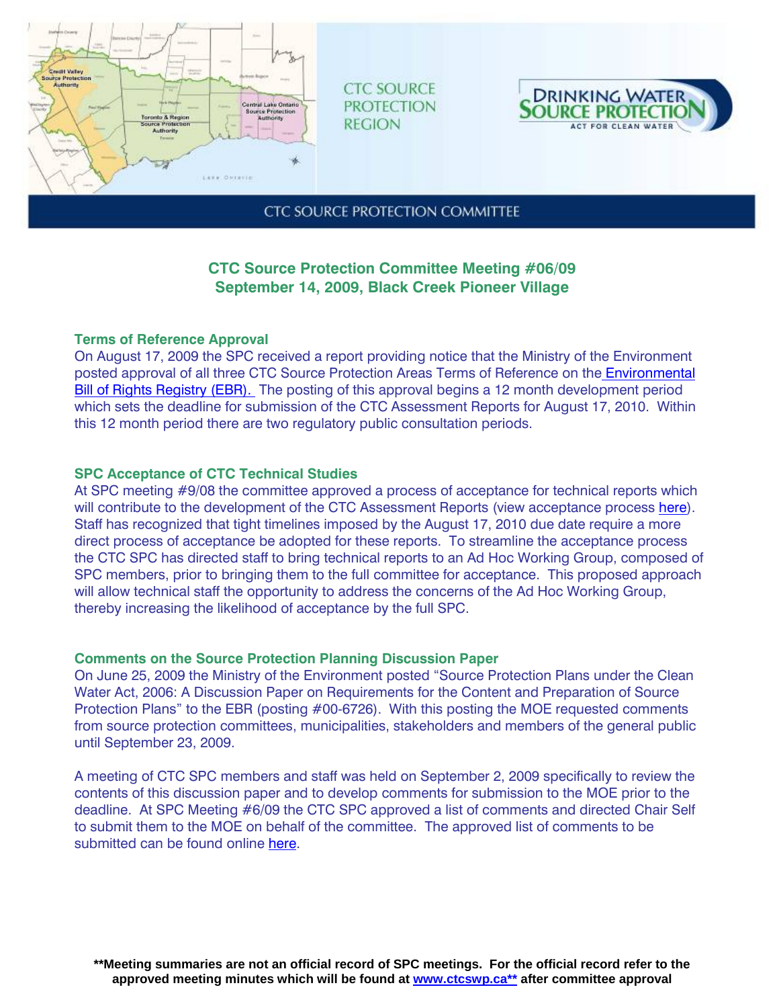

**CTC SOURCE PROTECTION REGION** 



**CTC SOURCE PROTECTION COMMITTEE** 

# **CTC Source Protection Committee Meeting #06/09 September 14, 2009, Black Creek Pioneer Village**

# **Terms of Reference Approval**

On August 17, 2009 the SPC received a report providing notice that the Ministry of the Environment posted approval of all three CTC Source Protection Areas Terms of Reference on the Environmental Bill of Rights Registry (EBR). The posting of this approval begins a 12 month development period which sets the deadline for submission of the CTC Assessment Reports for August 17, 2010. Within this 12 month period there are two regulatory public consultation periods.

# **SPC Acceptance of CTC Technical Studies**

At SPC meeting #9/08 the committee approved a process of acceptance for technical reports which will contribute to the development of the CTC Assessment Reports (view acceptance process here). Staff has recognized that tight timelines imposed by the August 17, 2010 due date require a more direct process of acceptance be adopted for these reports. To streamline the acceptance process the CTC SPC has directed staff to bring technical reports to an Ad Hoc Working Group, composed of SPC members, prior to bringing them to the full committee for acceptance. This proposed approach will allow technical staff the opportunity to address the concerns of the Ad Hoc Working Group, thereby increasing the likelihood of acceptance by the full SPC.

## **Comments on the Source Protection Planning Discussion Paper**

On June 25, 2009 the Ministry of the Environment posted "Source Protection Plans under the Clean Water Act, 2006: A Discussion Paper on Requirements for the Content and Preparation of Source Protection Plans" to the EBR (posting #00-6726). With this posting the MOE requested comments from source protection committees, municipalities, stakeholders and members of the general public until September 23, 2009.

A meeting of CTC SPC members and staff was held on September 2, 2009 specifically to review the contents of this discussion paper and to develop comments for submission to the MOE prior to the deadline. At SPC Meeting #6/09 the CTC SPC approved a list of comments and directed Chair Self to submit them to the MOE on behalf of the committee. The approved list of comments to be submitted can be found online here.

**\*\*Meeting summaries are not an official record of SPC meetings. For the official record refer to the approved meeting minutes which will be found at www.ctcswp.ca\*\* after committee approval**